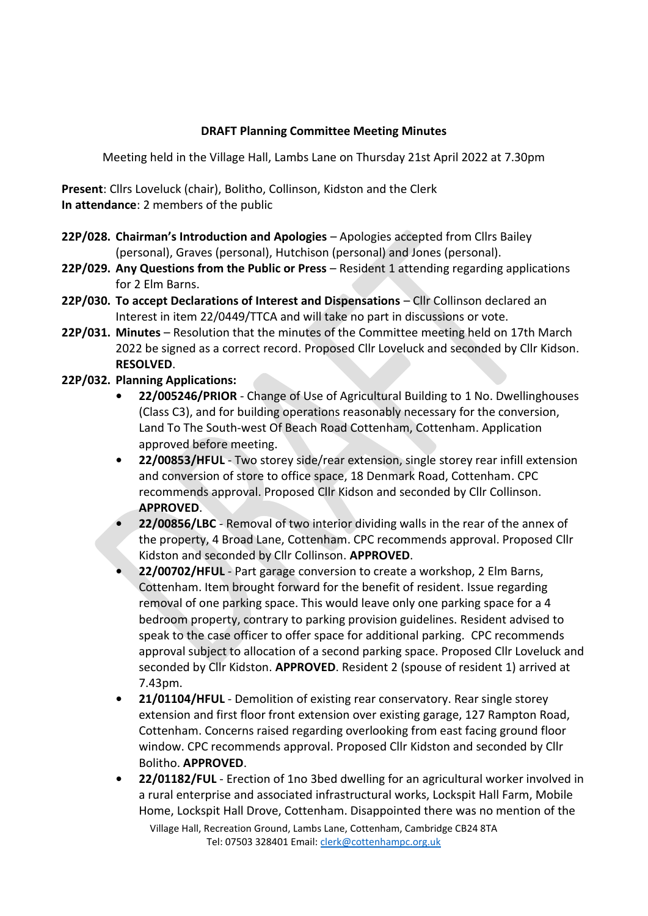## **DRAFT Planning Committee Meeting Minutes**

Meeting held in the Village Hall, Lambs Lane on Thursday 21st April 2022 at 7.30pm

**Present**: Cllrs Loveluck (chair), Bolitho, Collinson, Kidston and the Clerk **In attendance**: 2 members of the public

- **22P/028. Chairman's Introduction and Apologies** Apologies accepted from Cllrs Bailey (personal), Graves (personal), Hutchison (personal) and Jones (personal).
- **22P/029. Any Questions from the Public or Press** Resident 1 attending regarding applications for 2 Elm Barns.
- **22P/030. To accept Declarations of Interest and Dispensations** Cllr Collinson declared an Interest in item 22/0449/TTCA and will take no part in discussions or vote.
- **22P/031. Minutes** Resolution that the minutes of the Committee meeting held on 17th March 2022 be signed as a correct record. Proposed Cllr Loveluck and seconded by Cllr Kidson. **RESOLVED**.
- **22P/032. Planning Applications:** 
	- **22/005246/PRIOR** Change of Use of Agricultural Building to 1 No. Dwellinghouses (Class C3), and for building operations reasonably necessary for the conversion, Land To The South-west Of Beach Road Cottenham, Cottenham. Application approved before meeting.
	- **22/00853/HFUL** Two storey side/rear extension, single storey rear infill extension and conversion of store to office space, 18 Denmark Road, Cottenham. CPC recommends approval. Proposed Cllr Kidson and seconded by Cllr Collinson. **APPROVED**.
	- **22/00856/LBC** Removal of two interior dividing walls in the rear of the annex of the property, 4 Broad Lane, Cottenham. CPC recommends approval. Proposed Cllr Kidston and seconded by Cllr Collinson. **APPROVED**.
	- **22/00702/HFUL** Part garage conversion to create a workshop, 2 Elm Barns, Cottenham. Item brought forward for the benefit of resident. Issue regarding removal of one parking space. This would leave only one parking space for a 4 bedroom property, contrary to parking provision guidelines. Resident advised to speak to the case officer to offer space for additional parking. CPC recommends approval subject to allocation of a second parking space. Proposed Cllr Loveluck and seconded by Cllr Kidston. **APPROVED**. Resident 2 (spouse of resident 1) arrived at 7.43pm.
	- **21/01104/HFUL** Demolition of existing rear conservatory. Rear single storey extension and first floor front extension over existing garage, 127 Rampton Road, Cottenham. Concerns raised regarding overlooking from east facing ground floor window. CPC recommends approval. Proposed Cllr Kidston and seconded by Cllr Bolitho. **APPROVED**.
	- **22/01182/FUL** Erection of 1no 3bed dwelling for an agricultural worker involved in a rural enterprise and associated infrastructural works, Lockspit Hall Farm, Mobile Home, Lockspit Hall Drove, Cottenham. Disappointed there was no mention of the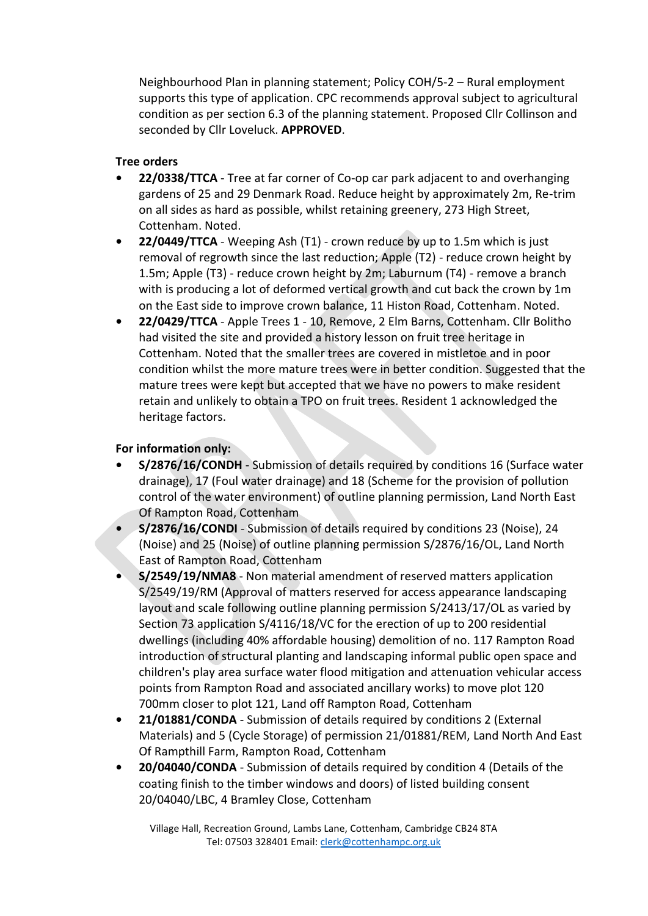Neighbourhood Plan in planning statement; Policy COH/5-2 – Rural employment supports this type of application. CPC recommends approval subject to agricultural condition as per section 6.3 of the planning statement. Proposed Cllr Collinson and seconded by Cllr Loveluck. **APPROVED**.

## **Tree orders**

- **22/0338/TTCA** Tree at far corner of Co-op car park adjacent to and overhanging gardens of 25 and 29 Denmark Road. Reduce height by approximately 2m, Re-trim on all sides as hard as possible, whilst retaining greenery, 273 High Street, Cottenham. Noted.
- **22/0449/TTCA** Weeping Ash (T1) crown reduce by up to 1.5m which is just removal of regrowth since the last reduction; Apple (T2) - reduce crown height by 1.5m; Apple (T3) - reduce crown height by 2m; Laburnum (T4) - remove a branch with is producing a lot of deformed vertical growth and cut back the crown by 1m on the East side to improve crown balance, 11 Histon Road, Cottenham. Noted.
- **22/0429/TTCA** Apple Trees 1 10, Remove, 2 Elm Barns, Cottenham. Cllr Bolitho had visited the site and provided a history lesson on fruit tree heritage in Cottenham. Noted that the smaller trees are covered in mistletoe and in poor condition whilst the more mature trees were in better condition. Suggested that the mature trees were kept but accepted that we have no powers to make resident retain and unlikely to obtain a TPO on fruit trees. Resident 1 acknowledged the heritage factors.

## **For information only:**

- **S/2876/16/CONDH** Submission of details required by conditions 16 (Surface water drainage), 17 (Foul water drainage) and 18 (Scheme for the provision of pollution control of the water environment) of outline planning permission, Land North East Of Rampton Road, Cottenham
- **S/2876/16/CONDI** Submission of details required by conditions 23 (Noise), 24 (Noise) and 25 (Noise) of outline planning permission S/2876/16/OL, Land North East of Rampton Road, Cottenham
- **S/2549/19/NMA8** Non material amendment of reserved matters application S/2549/19/RM (Approval of matters reserved for access appearance landscaping layout and scale following outline planning permission S/2413/17/OL as varied by Section 73 application S/4116/18/VC for the erection of up to 200 residential dwellings (including 40% affordable housing) demolition of no. 117 Rampton Road introduction of structural planting and landscaping informal public open space and children's play area surface water flood mitigation and attenuation vehicular access points from Rampton Road and associated ancillary works) to move plot 120 700mm closer to plot 121, Land off Rampton Road, Cottenham
- **21/01881/CONDA** Submission of details required by conditions 2 (External Materials) and 5 (Cycle Storage) of permission 21/01881/REM, Land North And East Of Rampthill Farm, Rampton Road, Cottenham
- **20/04040/CONDA** Submission of details required by condition 4 (Details of the coating finish to the timber windows and doors) of listed building consent 20/04040/LBC, 4 Bramley Close, Cottenham